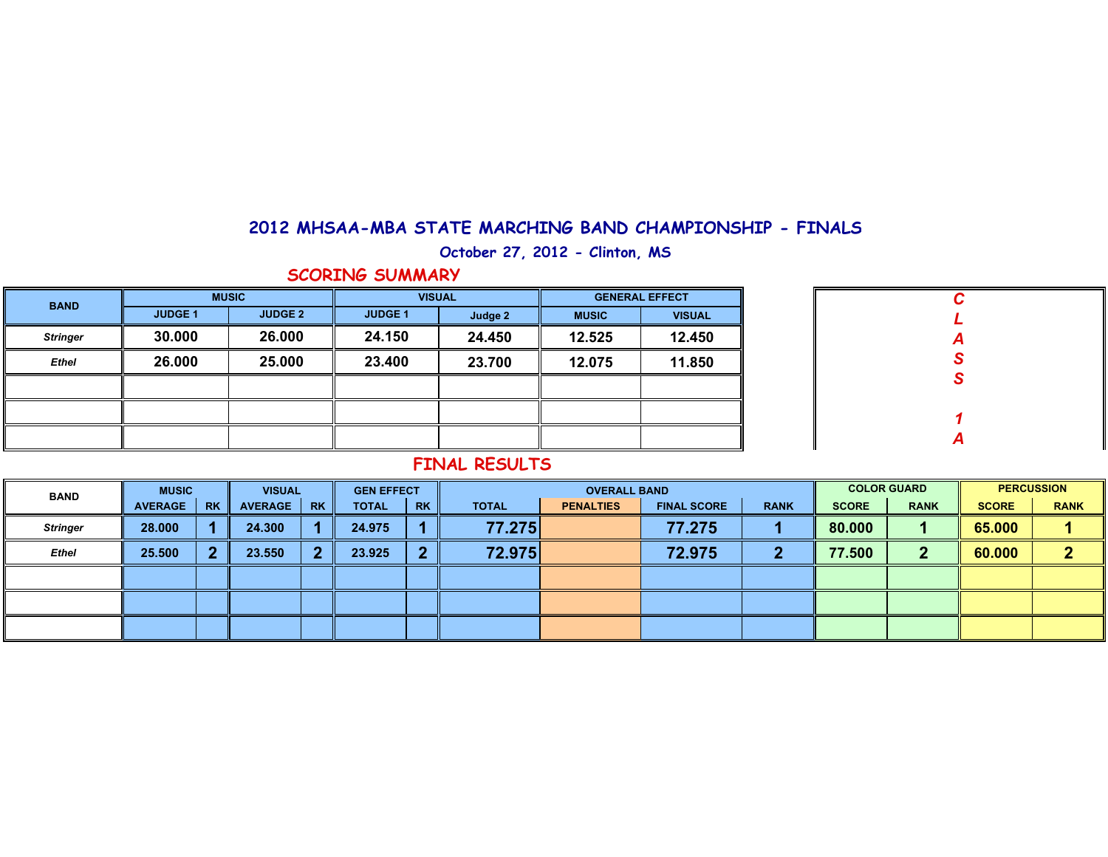#### **2012 MHSAA-MBA STATE MARCHING BAND CHAMPIONSHIP - FINALS**

**October 27, 2012 - Clinton, MS**

**SCORING SUMMARY**

| <b>BAND</b>     |                | <b>MUSIC</b>   | <b>VISUAL</b>  |         | <b>GENERAL EFFECT</b> |               |  |  |  |
|-----------------|----------------|----------------|----------------|---------|-----------------------|---------------|--|--|--|
|                 | <b>JUDGE 1</b> | <b>JUDGE 2</b> | <b>JUDGE 1</b> | Judge 2 | <b>MUSIC</b>          | <b>VISUAL</b> |  |  |  |
| <b>Stringer</b> | 30.000         | 26.000         | 24.150         | 24.450  | 12.525                | 12.450        |  |  |  |
| <b>Ethel</b>    | 26.000         | 25.000         | 23.400         | 23.700  | 12.075                | 11.850        |  |  |  |
|                 |                |                |                |         |                       |               |  |  |  |
|                 |                |                |                |         |                       |               |  |  |  |
|                 |                |                |                |         |                       |               |  |  |  |

|   | $\mathcal C$     |
|---|------------------|
|   | L                |
|   |                  |
|   | A<br>S<br>S      |
|   |                  |
|   |                  |
|   | 1                |
|   | $\boldsymbol{A}$ |
| Ш |                  |

### **FINAL RESULTS**

| <b>BAND</b>     | <b>MUSIC</b>   |           | <b>VISUAL</b>  |           | <b>GEN EFFECT</b> |           |              | <b>OVERALL BAND</b> |                    |             | <b>COLOR GUARD</b> | <b>PERCUSSION</b> |              |             |
|-----------------|----------------|-----------|----------------|-----------|-------------------|-----------|--------------|---------------------|--------------------|-------------|--------------------|-------------------|--------------|-------------|
|                 | <b>AVERAGE</b> | <b>RK</b> | <b>AVERAGE</b> | <b>RK</b> | <b>TOTAL</b>      | <b>RK</b> | <b>TOTAL</b> | <b>PENALTIES</b>    | <b>FINAL SCORE</b> | <b>RANK</b> | <b>SCORE</b>       | <b>RANK</b>       | <b>SCORE</b> | <b>RANK</b> |
| <b>Stringer</b> | 28,000         |           | 24.300         |           | 24.975            |           | 77.275       |                     | 77.275             |             | 80.000             |                   | 65.000       |             |
| Ethel           | 25.500         |           | 23.550         | ٠         | 23.925            | 2         | 72.975       |                     | 72.975             |             | 77.500             |                   | 60.000       | - 1         |
|                 |                |           |                |           |                   |           |              |                     |                    |             |                    |                   |              |             |
|                 |                |           |                |           |                   |           |              |                     |                    |             |                    |                   |              |             |
|                 |                |           |                |           |                   |           |              |                     |                    |             |                    |                   |              |             |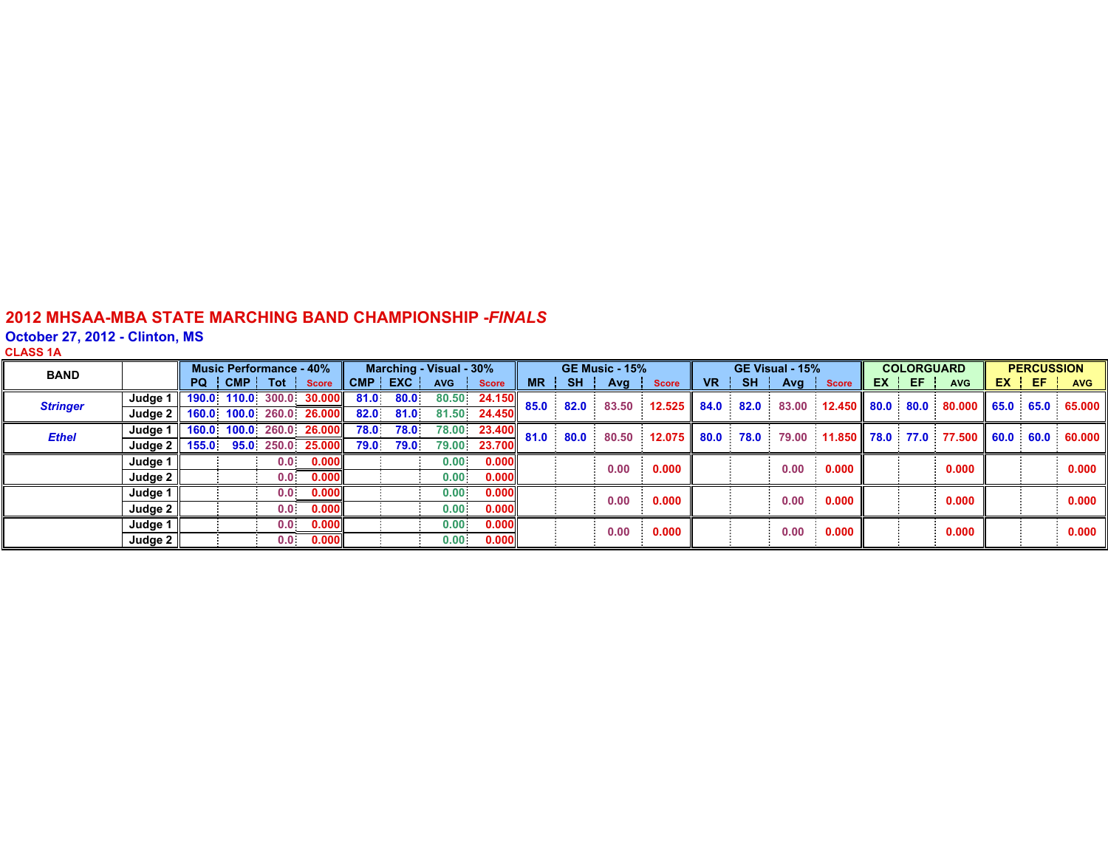#### **2012 MHSAA-MBA STATE MARCHING BAND CHAMPIONSHIP -** *FINALS*

#### **October 27, 2012 - Clinton, MS**

| - |
|---|
|---|

| <b>BAND</b>     |                     | <b>Music Performance - 40%</b> |  |                  |                          | Marching - Visual - 30% |           |                   |              | <b>GE Music - 15%</b> |      |       |              |                 | GE Visual - 15% |       | <b>COLORGUARD</b> |  |       | <b>PERCUSSION</b>                                     |  |         |                                                                                                                                   |
|-----------------|---------------------|--------------------------------|--|------------------|--------------------------|-------------------------|-----------|-------------------|--------------|-----------------------|------|-------|--------------|-----------------|-----------------|-------|-------------------|--|-------|-------------------------------------------------------|--|---------|-----------------------------------------------------------------------------------------------------------------------------------|
|                 |                     | PQ                             |  | CMP Tot Score    |                          |                         | CMP EXC   | <b>AVG</b>        | <b>Score</b> | <b>MR</b>             | SH I | Avg   | <b>Score</b> | VR <sub>1</sub> | <b>SH</b>       |       | Avg Score         |  | EX EF | <b>AVG</b>                                            |  | $EX$ EF | <b>AVG</b>                                                                                                                        |
| <b>Stringer</b> | Judge 1             |                                |  |                  | 190.0 110.0 300.0 30.000 |                         | 81.0 80.0 |                   | 80.50 24.150 | 85.0                  | 82.0 | 83.50 | 12.525       | 84.0            | 82.0            |       |                   |  |       | 83.00  12.450  80.0  80.0  80.000  65.0  65.0  65.000 |  |         |                                                                                                                                   |
|                 | Judge $2 \parallel$ |                                |  |                  | 160.0 100.0 260.0 26.000 |                         | 82.0 81.0 |                   | 81.50 24.450 |                       |      |       |              |                 |                 |       |                   |  |       |                                                       |  |         |                                                                                                                                   |
| <b>Ethel</b>    | Judge $1 \mid$      | 160.0 100.0 260.0 26.000       |  |                  |                          | 78.0                    | 78.0      |                   | 78.00 23.400 | 81.0                  | 80.0 |       |              |                 |                 |       |                   |  |       |                                                       |  |         | 80.50 $\,$ 12.075 $\,$ 80.0 $\,$ 78.0 $\,$ 79.00 $\,$ 11.850 $\,$ 78.0 $\,$ 77.0 $\,$ 77.500 $\,$ 60.0 $\,$ 60.0 $\,$ 60.000 $\,$ |
|                 | Judge $2 \parallel$ |                                |  |                  | 155.0 95.0 250.0 25.000  | 79.0                    | 79.0      |                   | 79.00 23.700 |                       |      |       |              |                 |                 |       |                   |  |       |                                                       |  |         |                                                                                                                                   |
|                 | Judge 1             |                                |  | 0.0              | 0.000                    |                         |           | $0.00 -$          | 0.000        |                       |      | 0.00  | 0.000        |                 |                 |       | 0.00 0.000        |  |       | 0.000                                                 |  |         | 0.000                                                                                                                             |
|                 | Judge $2 \parallel$ |                                |  | 0.0 <sub>1</sub> | 0.000                    |                         |           | 0.00              | 0.000        |                       |      |       |              |                 |                 |       |                   |  |       |                                                       |  |         |                                                                                                                                   |
|                 | Judge 1             |                                |  | 0.0              | 0.000                    |                         |           | $0.00 -$          | 0.000        |                       |      | 0.00  | 0.000        |                 |                 |       | $0.00 \t 0.000$   |  |       | 0.000                                                 |  |         | $0.000$                                                                                                                           |
|                 | Judge $2 \parallel$ |                                |  | 0.0 <sub>1</sub> | 0.000                    |                         |           | 0.00 <sub>1</sub> | 0.000        |                       |      |       |              |                 |                 |       |                   |  |       |                                                       |  |         |                                                                                                                                   |
|                 | Judge 1             |                                |  | 0.0              | 0.000                    |                         |           | $0.00^\circ$      | 0.000        |                       |      | 0.00  | 0.000        |                 | 0.00            | 0.000 |                   |  | 0.000 |                                                       |  | 0.000   |                                                                                                                                   |
|                 | Judge $2 \parallel$ |                                |  | 0.0 <sub>1</sub> | 0.000                    |                         |           | $0.00 -$          | 0.000        |                       |      |       |              |                 |                 |       |                   |  |       |                                                       |  |         |                                                                                                                                   |